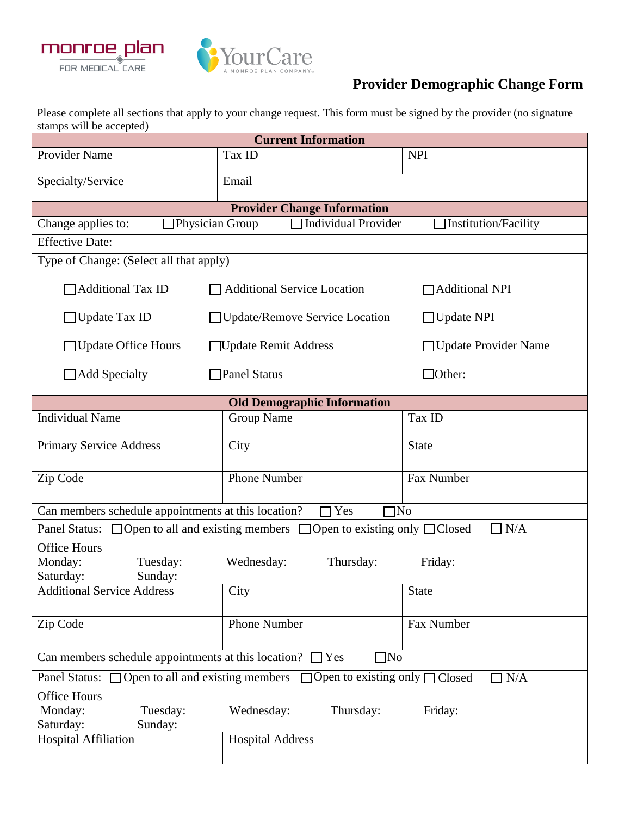



## **Provider Demographic Change Form**

Please complete all sections that apply to your change request. This form must be signed by the provider (no signature stamps will be accepted)

| <b>Current Information</b>                                                                                     |                                  |                             |  |
|----------------------------------------------------------------------------------------------------------------|----------------------------------|-----------------------------|--|
| <b>Provider Name</b>                                                                                           | Tax ID                           | <b>NPI</b>                  |  |
| Specialty/Service                                                                                              | Email                            |                             |  |
| <b>Provider Change Information</b>                                                                             |                                  |                             |  |
| Physician Group<br>Change applies to:                                                                          | $\Box$ Individual Provider       | $\Box$ Institution/Facility |  |
| <b>Effective Date:</b>                                                                                         |                                  |                             |  |
| Type of Change: (Select all that apply)                                                                        |                                  |                             |  |
| □ Additional Tax ID                                                                                            | □ Additional Service Location    | □ Additional NPI            |  |
| $\Box$ Update Tax ID                                                                                           | □ Update/Remove Service Location | $\Box$ Update NPI           |  |
| $\Box$ Update Office Hours                                                                                     | □Update Remit Address            | □ Update Provider Name      |  |
| $\Box$ Add Specialty                                                                                           | $\Box$ Panel Status              | $\Box$ Other:               |  |
| <b>Old Demographic Information</b>                                                                             |                                  |                             |  |
| <b>Individual Name</b>                                                                                         | <b>Group Name</b>                | Tax ID                      |  |
| <b>Primary Service Address</b>                                                                                 | City                             | <b>State</b>                |  |
| Zip Code                                                                                                       | <b>Phone Number</b>              | Fax Number                  |  |
| Can members schedule appointments at this location?<br>Yes<br>$\square$ No                                     |                                  |                             |  |
| Panel Status: $\Box$ Open to all and existing members $\Box$ Open to existing only $\Box$ Closed<br>$\Box$ N/A |                                  |                             |  |
| <b>Office Hours</b><br>Monday:<br>Tuesday:<br>Sunday:<br>Saturday:                                             | Wednesday:<br>Thursday:          | Friday:                     |  |
| <b>Additional Service Address</b>                                                                              | City                             | <b>State</b>                |  |
| Zip Code                                                                                                       | <b>Phone Number</b>              | Fax Number                  |  |
| Can members schedule appointments at this location? $\Box$ Yes<br>$\square$ No                                 |                                  |                             |  |
| Panel Status: $\Box$ Open to all and existing members<br>$\Box$ Open to existing only $\Box$ Closed<br>N/A     |                                  |                             |  |
| <b>Office Hours</b><br>Monday:<br>Tuesday:<br>Saturday:<br>Sunday:                                             | Wednesday:<br>Thursday:          | Friday:                     |  |
| <b>Hospital Affiliation</b>                                                                                    | <b>Hospital Address</b>          |                             |  |